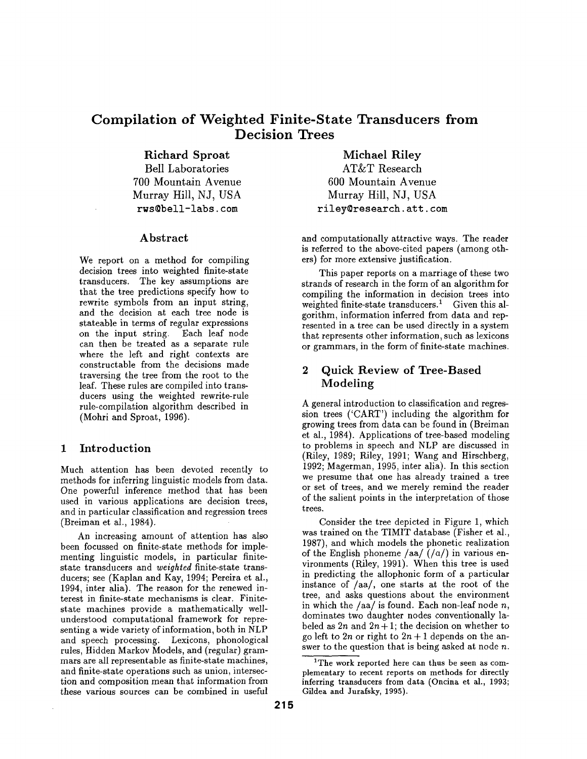# **Compilation of Weighted Finite-State Transducers from Decision Trees**

**Richard** Sproat

Bell Laboratories 700 Mountain Avenue Murray Hill, NJ, USA rws@bell-labs, tom

#### Abstract

We report on a method for compiling decision trees into weighted finite-state transducers. The key assumptions are that the tree predictions specify how to rewrite symbols from an input string, and the decision at each tree node is stateable in terms of regular expressions on the input string. Each leaf node can then be treated as a separate rule where the left and right contexts are constructable from the decisions made traversing the tree from the root to the leaf. These rules are compiled into transducers using the weighted rewrite-rule rule-compilation algorithm described in (Mohri and Sproat, 1996).

## 1 Introduction

Much attention has been devoted recently to methods for inferring linguistic models from data. One powerful inference method that has been used in various applications are decision trees, and in particular classification and regression trees (Breiman et al., 1984).

An increasing amount of attention has also been focussed on finite-state methods for implementing linguistic models, in particular **finitestate** transducers and *weighted* finite-state transducers; see (Kaplan and Kay, 1994; Pereira et al., 1994, inter alia). The reason for the renewed interest in finite-state mechanisms is clear. Finitestate machines provide a mathematically wellunderstood computational framework for representing a wide variety of information, both in NLP and speech processing. Lexicons, phonological rules, Hidden Markov Models, and (regular) grammars are all representable as finite-state machines, and finite-state operations such as union, intersection and composition mean that information from these various sources can be combined in useful

**Michael Riley**  AT&T Research 600 Mountain Avenue Murray Hill, NJ, USA riley@research, att. com

and computationally attractive ways. The reader is referred to the above-cited papers (among others) for more extensive justification.

This paper reports on a marriage of these two strands of research in the form of an algorithm for compiling the information in decision trees into weighted finite-state transducers.<sup>1</sup> Given this algorithm, information inferred from data and represented in a tree can be used directly in a system that represents other information, such as lexicons or grammars, in the form of finite-state machines.

# 2 Quick **Review of Tree-Based**  Modeling

A general introduction to classification and regression trees ('CART') including the algorithm for growing trees from data can be found in (Breiman et al., 1984). Applications of tree-based modeling to problems in speech and NLP are discussed in (Riley, 1989; Riley, 1991; Wang and Hirschberg, 1992; Magerman, 1995, inter alia). In this section we presume that one has already trained a tree or set of trees, and we merely remind the reader of the salient points in the interpretation of those trees.

Consider the tree depicted in Figure 1, which was trained on the TIMIT database (Fisher et al., 1987), and which models the phonetic realization of the English phoneme /aa/ $($ /a/) in various environments (Riley, 1991). When this tree is used in predicting the allophonic form of a particular instance of /aa/, one starts at the root of the tree, and asks questions about the environment in which the  $/aa/$  is found. Each non-leaf node n, dominates two daughter nodes conventionally labeled as  $2n$  and  $2n+1$ ; the decision on whether to go left to  $2n$  or right to  $2n + 1$  depends on the answer to the question that is being asked at node  $n$ .

<sup>&</sup>lt;sup>1</sup>The work reported here can thus be seen as complementary **to recent reports on methods for** directly inferring transducers **from data (Oncina et** al., 1993; **Gildea and** Jurafsky, 1995).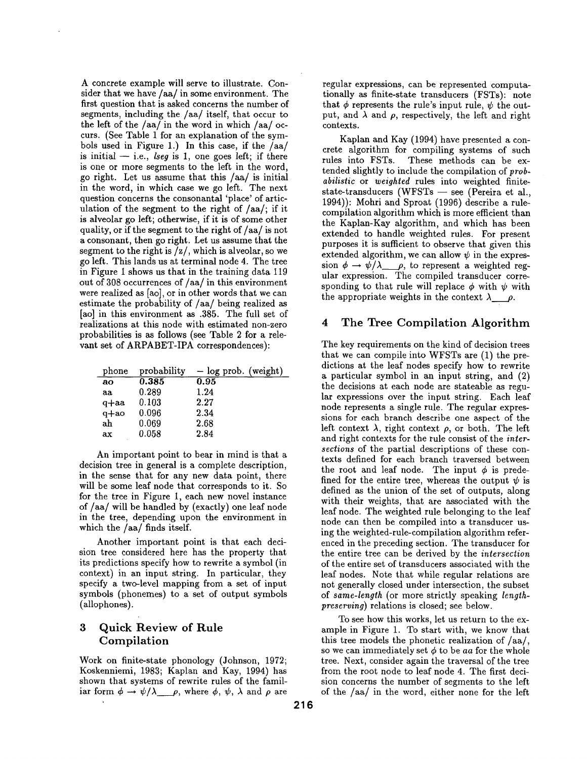A concrete example will serve to illustrate. Consider that we have/aa/in some environment. The first question that is asked concerns the number of segments, including the /aa/itself, that occur to the left of the  $/aa/$  in the word in which  $/aa/$  occurs. (See Table 1 for an explanation of the symbols used in Figure 1.) In this case, if the /aa/ is initial  $-$  i.e., *lseg* is 1, one goes left; if there is one or more segments to the left in the word, go right. Let us assume that this  $/aa/$  is initial in the word, in which case we go left. The next question concerns the consonantal 'place' of articulation of the segment to the right of  $/aa$ ; if it is alveolar go left; otherwise, if it is of some other quality, or if the segment to the right of/aa/is not a consonant, then go right. Let us assume that the segment to the right is  $\frac{z}{\sqrt{x}}$ , which is alveolar, so we go left. This lands us at terminal node 4. The tree in Figure 1 shows us that in the training data 119 out of 308 occurrences of/aa/in this environment were realized as [ao], or in other words that we can estimate the probability of/aa/being realized as [ao] in this environment as .385. The full set of realizations at this node with estimated non-zero probabilities is as follows (see Table 2 for a relevant set of ARPABET-IPA correspondences):

| phone  | probability | $-$ log prob. (weight) |
|--------|-------------|------------------------|
| ao     | 0.385       | 0.95                   |
| aa     | 0.289       | 1.24                   |
| $q+aa$ | 0.103       | 2.27                   |
| $q+ao$ | 0.096       | 2.34                   |
| ah     | 0.069       | 2.68                   |
| ax     | 0.058       | 2.84                   |

An important point to bear in mind is that a decision tree in general is a complete description, in the sense that for any new data point, there will be some leaf node that corresponds to it. So for the tree in Figure 1, each new novel instance of/aa/will be handled by (exactly) one leaf node in the tree, depending upon the environment in which the  $/aa/$  finds itself.

Another important point is that each decision tree considered here has the property that its predictions specify how to rewrite a symbol (in context) in an input string. In particular, they specify a two-level mapping from a set of input symbols (phonemes) to a set of output symbols (allophones).

# 3 Quick Review of Rule Compilation

Work on finite-state phonology (Johnson, 1972; Koskenniemi, 1983; Kaplan and Kay, 1994) has shown that systems of rewrite rules of the familiar form  $\phi \to \psi/\lambda$   $\rho$ , where  $\phi$ ,  $\psi$ ,  $\lambda$  and  $\rho$  are

regular expressions, can be represented computationally as finite-state transducers (FSTs): note that  $\phi$  represents the rule's input rule,  $\psi$  the output, and  $\lambda$  and  $\rho$ , respectively, the left and right contexts.

Kaplan and Kay (1994) have presented a concrete algorithm for compiling systems of such rules into FSTs. These methods can be extended slightly to include the compilation of *probabilistic* or *weighted* rules into weighted finitestate-transducers (WFSTs  $-$  see (Pereira et al., 1994)): Mohri and Sproat (1996) describe a rulecompilation algorithm which is more efficient than the Kaplan-Kay algorithm, and which has been extended to handle weighted rules. For present purposes it is sufficient to observe that given this extended algorithm, we can allow  $\psi$  in the expression  $\phi \rightarrow \psi/\lambda \rho$ , to represent a weighted regular expression. The compiled transducer corresponding to that rule will replace  $\phi$  with  $\psi$  with the appropriate weights in the context  $\lambda$   $\rho$ .

#### 4 The Tree Compilation Algorithm

The key requirements on the kind of decision trees that we can compile into WFSTs are (1) the predictions at the leaf nodes specify how to rewrite a particular symbol in an input string, and (2) the decisions at each node are stateable as regular expressions over the input string. Each leaf node represents a single rule. The regular expressions for each branch describe one aspect of the left context  $\lambda$ , right context  $\rho$ , or both. The left and right contexts for the rule consist of the inter*sections* of the partial descriptions of these contexts defined for each branch traversed between the root and leaf node. The input  $\phi$  is predefined for the entire tree, whereas the output  $\psi$  is defined as the union of the set of outputs, along with their weights, that are associated with the leaf node. The weighted rule belonging to the leaf node can then be compiled into a transducer using the weighted-rule-compilation algorithm referenced in the preceding section. The transducer for the entire tree can be derived by the *intersection*  of the entire set of transducers associated with the leaf nodes. Note that while regular relations are not generally closed under intersection, the subset of *same-length* (or more strictly speaking *lengthpreserving)* relations is closed; see below.

To see how this works, let us return to the example in Figure 1. To start with, we know that this tree models the phonetic realization of/aa/, so we can immediately set  $\phi$  to be *aa* for the whole tree. Next, consider again the traversal of the tree from the root node to leaf node 4. The first decision concerns the number of segments to the left of the /aa/ in the word, either none for the left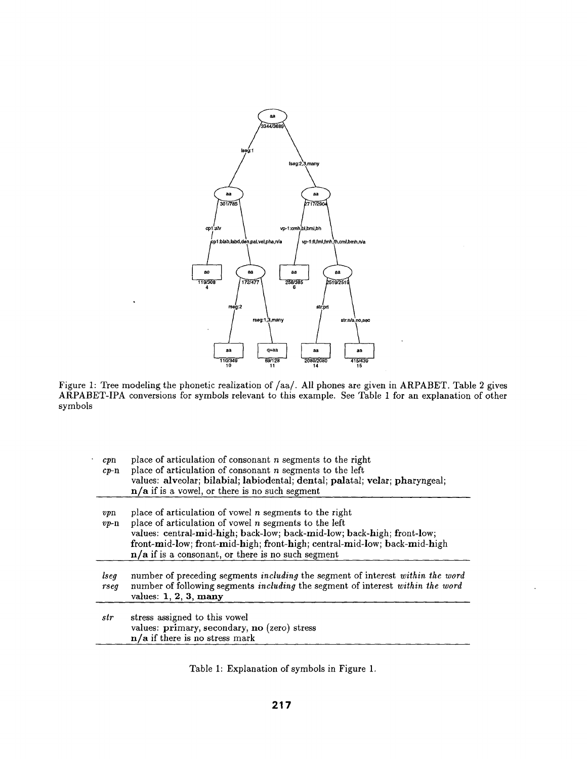

Figure 1: Tree modeling the phonetic realization of/aa/. All phones are given in ARPABET. Table 2 gives ARPABET-IPA conversions for symbols relevant to this example. See Table 1 for an explanation of other symbols

| cpn<br>$c_{\nu - n}$ | place of articulation of consonant $n$ segments to the right<br>place of articulation of consonant $n$ segments to the left<br>values: alveolar; bilabial; labiodental; dental; palatal; velar; pharyngeal;<br>$n/a$ if is a vowel, or there is no such segment                                                                     |  |  |  |  |
|----------------------|-------------------------------------------------------------------------------------------------------------------------------------------------------------------------------------------------------------------------------------------------------------------------------------------------------------------------------------|--|--|--|--|
| $v_{p}$<br>$vp$ -n   | place of articulation of vowel $n$ segments to the right<br>place of articulation of vowel $n$ segments to the left<br>values: central-mid-high; back-low; back-mid-low; back-high; front-low;<br>front-mid-low; front-mid-high; front-high; central-mid-low; back-mid-high<br>$n/a$ if is a consonant, or there is no such segment |  |  |  |  |
| lseg<br>rseq         | number of preceding segments including the segment of interest within the word<br>number of following segments including the segment of interest within the word<br>values: $1, 2, 3$ , many                                                                                                                                        |  |  |  |  |
| str                  | stress assigned to this vowel<br>values: primary, secondary, no (zero) stress<br>$n/a$ if there is no stress mark                                                                                                                                                                                                                   |  |  |  |  |

Table 1: Explanation of symbols in Figure 1.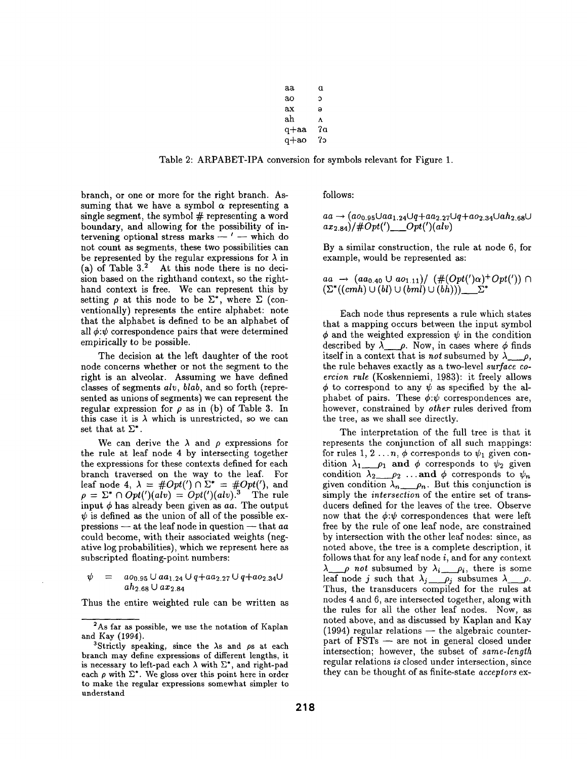| аа   | α  |
|------|----|
| ao   | C  |
| ax   | Э  |
| ah   | ٨  |
| q+aa | 2a |
| a+ao | ?ລ |

Table 2: ARPABET-IPA conversion for symbols relevant for Figure 1.

branch, or one or more for the right branch. Assuming that we have a symbol  $\alpha$  representing a single segment, the symbol  $#$  representing a word boundary, and allowing for the possibility of intervening optional stress marks  $-$  '  $-$  which do not count as segments, these two possibilities can be represented by the regular expressions for  $\lambda$  in (a) of Table  $3<sup>2</sup>$  At this node there is no decision based on the righthand context, so the righthand context is free. We can represent this by setting  $\rho$  at this node to be  $\Sigma^*$ , where  $\Sigma$  (conventionally) represents the entire alphabet: note that the alphabet is defined to be an alphabet of all  $\phi$ : $\psi$  correspondence pairs that were determined empirically to be possible.

The decision at the left daughter of the root node concerns whether or not the segment to the right is an alveolar. Assuming we have defined classes of segments *alv, blab,* and so forth (represented as unions of segments) we can represent the regular expression for  $\rho$  as in (b) of Table 3. In this case it is  $\lambda$  which is unrestricted, so we can set that at  $\Sigma^*$ .

We can derive the  $\lambda$  and  $\rho$  expressions for the rule at leaf node 4 by intersecting together the expressions for these contexts defined for each branch traversed on the way to the leaf. For leaf node 4,  $\lambda = #Opt() \cap \Sigma^* = #Opt(),$  and  $\rho = \Sigma^* \cap Opt(')(alv) = Opt(')(alv).$ <sup>3</sup> The rule input  $\phi$  has already been given as  $aa$ . The output  $\psi$  is defined as the union of all of the possible expressions -- at the leaf node in question -- that *aa*  could become, with their associated weights (negative log probabilities), which we represent here as subscripted floating-point numbers:

$$
\psi = a o_{0.95} \cup a a_{1.24} \cup q + a a_{2.27} \cup q + a o_{2.34} \cup a h_{2.68} \cup a x_{2.84}
$$

Thus the entire weighted rule can be written as

follows:

$$
aa \rightarrow (a_{0.95} \cup aa_{1.24} \cup q + aa_{2.27} \cup q + ao_{2.34} \cup ah_{2.68} \cup
$$
  

$$
ax_{2.84})/\#Opt'(\_\_Opt'')(alv)
$$

By a similar construction, the rule at node 6, for example, would be represented as:

$$
aa \rightarrow (aa_{0.40} \cup ao_{1.11}) / \left( \#(Opt(')\alpha)^+ Opt(')\right) \cap (\Sigma^*((cmh) \cup (bl) \cup (bml)) \cup (bh))) \_ \Sigma^*
$$

Each node thus represents a rule which states that a mapping occurs between the input symbol  $\phi$  and the weighted expression  $\psi$  in the condition described by  $\lambda \rho$ . Now, in cases where  $\phi$  finds itself in a context that is *not* subsumed by  $\lambda_{\text{max}} \rho$ , the rule behaves exactly as a two-level *surface coercion rule* (Koskenniemi, 1983): it freely allows  $\phi$  to correspond to any  $\psi$  as specified by the alphabet of pairs. These  $\phi$ : $\psi$  correspondences are, however, constrained by *other* rules derived from the tree, as we shall see directly.

The interpretation of the full tree is that it represents the conjunction of all such mappings: for rules 1, 2 ...n,  $\phi$  corresponds to  $\psi_1$  given condition  $\lambda_1 \equiv \rho_1$  and  $\phi$  corresponds to  $\psi_2$  given condition  $\lambda_2 \equiv \rho_2 \ldots$  and  $\phi$  corresponds to  $\psi_n$ given condition  $\lambda_n = \rho_n$ . But this conjunction is simply the *intersection* of the entire set of transducers defined for the leaves of the tree. Observe now that the  $\phi:\psi$  correspondences that were left free by the rule of one leaf node, are constrained by intersection with the other leaf nodes: since, as noted above, the tree is a complete description, it follows that for any leaf node  $i$ , and for any context  $\lambda_{\text{max}}$  *not* subsumed by  $\lambda_i = \rho_i$ , there is some leaf node j such that  $\lambda_j \equiv \rho_j$  subsumes  $\lambda \equiv \rho$ . Thus, the transducers compiled for the rules at nodes 4 and 6, are intersected together, along with the rules for all the other leaf nodes. Now, as noted above, and as discussed by Kaplan and Kay  $(1994)$  regular relations  $-$  the algebraic counterpart of FSTs -- are not in general closed under intersection; however, the subset of *same-length*  regular relations *is* closed under intersection, since they can be thought of as finite-state *acceptors* ex-

<sup>2</sup>As far as possible, we use the notation of Kaplan and Kay (1994).

<sup>&</sup>lt;sup>3</sup>Strictly speaking, since the  $\lambda$ s and  $\rho$ s at each branch may define expressions of different lengths, it is necessary to left-pad each  $\lambda$  with  $\Sigma^*$ , and right-pad each  $\rho$  with  $\Sigma^*$ . We gloss over this point here in order to make the regular expressions somewhat simpler to understand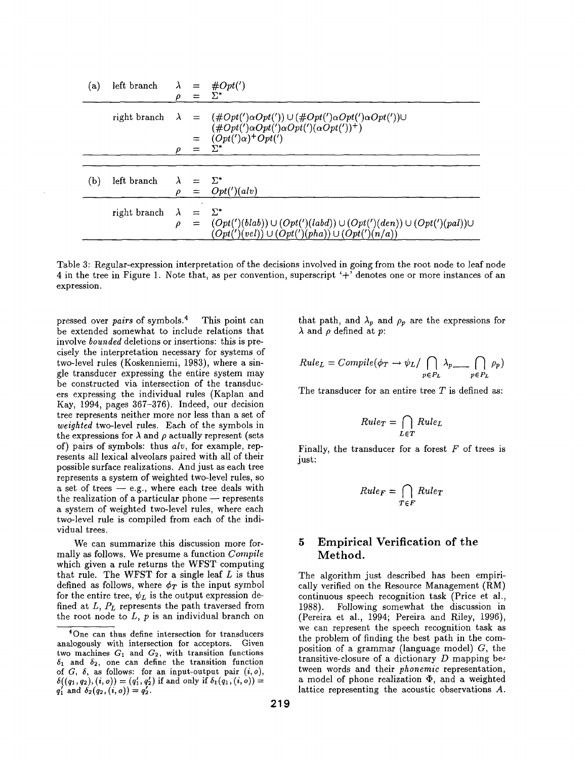| (a) | left branch $\lambda =$ |           |                       | $\#Opt(')$                                                                                                                                          |
|-----|-------------------------|-----------|-----------------------|-----------------------------------------------------------------------------------------------------------------------------------------------------|
|     |                         | D         | $=$                   | $\Sigma^*$                                                                                                                                          |
|     |                         |           |                       | right branch $\lambda = (\#Opt(')\alpha Opt()) \cup (\#Opt(')\alpha Opt(')\alpha Opt())$<br>$(\#Opt(')\alpha Opt(')\alpha Opt(')(\alpha Opt('))^+)$ |
|     |                         |           | $=$                   | $(Opt(')\alpha)^+ Opt(')$                                                                                                                           |
|     |                         |           |                       | $\Sigma^*$                                                                                                                                          |
|     |                         |           |                       |                                                                                                                                                     |
| (b) | left branch             | $\lambda$ | $=$ $\Sigma^*$<br>$=$ | Opt(')(alv)                                                                                                                                         |
|     |                         |           |                       |                                                                                                                                                     |
|     | right branch            | $\lambda$ |                       | $\Sigma^*$                                                                                                                                          |
|     |                         | $\rho$    | $=$                   | $(Opt(')(blab)) \cup (Opt(')(labd)) \cup (Opt(')(den)) \cup (Opt(')(pal)) \cup (Opt(')(pha)) \cup (Opt(')(n/a))$                                    |

Table 3: Regular-expression interpretation of the decisions involved in going from the root node to leaf node 4 in the tree in Figure 1. Note that, as per convention, superscript ' $+$ <sup>'</sup> denotes one or more instances of an expression.

pressed over *pairs* of symbols. 4 This point can be extended somewhat to include relations that involve *bounded* deletions or insertions: this is precisely the interpretation necessary for systems of two-level rules (Koskenniemi, 1983), where a single transducer expressing the entire system may be constructed via intersection of the transducers expressing the individual rules (Kaplan and Kay, 1994, pages 367-376). Indeed, our decision tree represents neither more nor less than a set of *weighted* two-level rules. Each of the symbols in the expressions for  $\lambda$  and  $\rho$  actually represent (sets of) pairs of symbols: thus *alp,* for example, represents all lexical alveolars paired with all of their possible surface realizations. And just as each tree represents a system of weighted two-level rules, so a set of trees  $-$  e.g., where each tree deals with the realization of a particular phone  $-$  represents a system of weighted two-level rules, where each two-level rule is compiled from each of the individual trees.

We can summarize this discussion more formally as follows. We presume a function *Compile*  which given a rule returns the WFST computing that rule. The WFST for a single leaf  $L$  is thus defined as follows, where  $\phi_T$  is the input symbol for the entire tree,  $\psi_L$  is the output expression defined at  $L$ ,  $P_L$  represents the path traversed from the root node to  $L$ ,  $p$  is an individual branch on

that path, and  $\lambda_p$  and  $\rho_p$  are the expressions for  $\lambda$  and  $\rho$  defined at p:

$$
Rule_L = Complete(\phi_T \rightarrow \psi_L / \bigcap_{p \in P_L} \lambda_{p} \longrightarrow \bigcap_{p \in P_L} \rho_p)
$$

The transducer for an entire tree  $T$  is defined as:

$$
Rule_T = \bigcap_{L \in T} Rule_L
$$

Finally, the transducer for a forest  $F$  of trees is just:

$$
Rule_F = \bigcap_{T \in F} Rule_T
$$

## **5 Empirical Verification of the Method.**

The algorithm just described has been empirically verified on the Resource Management (RM) continuous speech recognition task (Price et al., 1988). Following somewhat the discussion in (Pereira et al., 1994; Pereira and Riley, 1996), we can represent the speech recognition task as the problem of finding the best path in the composition of a grammar (language model)  $G$ , the transitive-closure of a dictionary  $D$  mapping between words and their *phonemic* representation, a model of phone realization  $\Phi$ , and a weighted lattice representing the acoustic observations A.

<sup>4</sup>One can thus define intersection for transducers analogously with intersection for acceptors. Given two machines  $G_1$  and  $G_2$ , with transition functions  $\delta_1$  and  $\delta_2$ , one can define the transition function of  $G$ ,  $\delta$ , as follows: for an input-output pair  $(i, o)$ ,  $\delta((q_1, q_2), (i, o)) = (q'_1, q'_2)$  if and only if  $\delta_1(q_1, (i, o)) =$  $q'_1$  and  $\delta_2(q_2, (i, o)) = q'_2$ .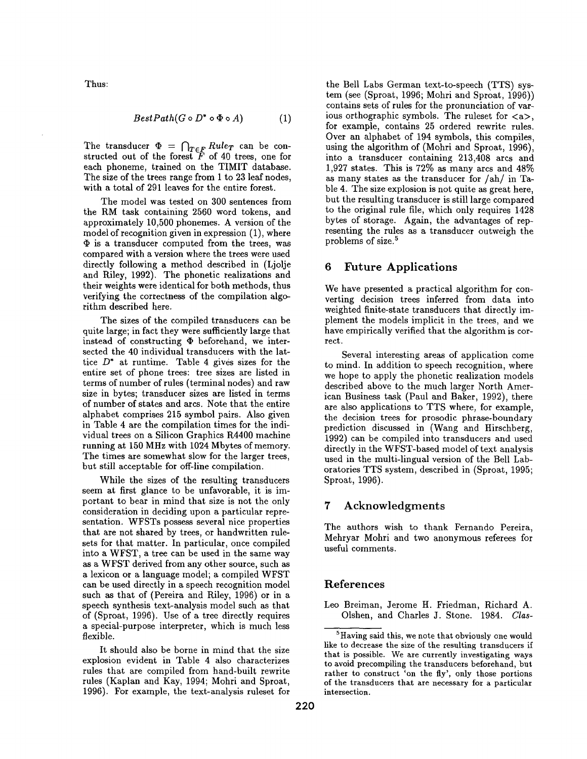Thus:

$$
BestPath(G \circ D^* \circ \Phi \circ A) \tag{1}
$$

The transducer  $\Phi = \int_{T \in F} R u l e_T$  can be constructed out of the forest  $F$  of 40 trees, one for each phoneme, trained on the TIMIT database. The size of the trees range from 1 to 23 leaf nodes, with a total of 291 leaves for the entire forest.

The model was tested on 300 sentences from the RM task containing 2560 word tokens, and approximately 10,500 phonemes. A version of the model of recognition given in expression (1), where  $\Phi$  is a transducer computed from the trees, was compared with a version where the trees were used directly following a method described in (Ljolje and Riley, 1992). The phonetic realizations and their weights were identical for both methods, thus verifying the correctness of the compilation algorithm described here.

The sizes of the compiled transducers can be quite large; in fact they were sufficiently large that instead of constructing  $\Phi$  beforehand, we intersected the 40 individual transducers with the lattice  $D^*$  at runtime. Table 4 gives sizes for the entire set of phone trees: tree sizes are listed in terms of number of rules (terminal nodes) and raw size in bytes; transducer sizes are listed in terms of number of states and arcs. Note that the entire alphabet comprises 215 symbol pairs. Also given in Table 4 are the compilation times for the individual trees on a Silicon Graphics R4400 machine running at 150 MHz with 1024 Mbytes of memory. The times are somewhat slow for the larger trees, but still acceptable for off-line compilation.

While the sizes of the resulting transducers seem at first glance to be unfavorable, it is important to bear in mind that size is not the only consideration in deciding upon a particular representation. WFSTs possess several nice properties that are not shared by trees, or handwritten rulesets for that matter. In particular, once compiled into a WFST, a tree can be used in the same way as a WFST derived from any other source, such as a lexicon or a language model; a compiled WFST can be used directly in a speech recognition model such as that of (Pereira and Riley, 1996) or in a speech synthesis text-analysis model such as that of (Sproat, 1996). Use of a tree directly requires a special-purpose interpreter, which is much less flexible.

It should also be borne in mind that the size explosion evident in Table 4 also characterizes rules that are compiled from hand-built rewrite rules (Kaplan and Kay, 1994; Mohri and Sproat, 1996). For example, the text-analysis ruleset for

the Bell Labs German text-to-speech (TTS) system (see (Sproat, 1996; Mohri and Sproat, 1996)) contains sets of rules for the pronunciation of various orthographic symbols. The ruleset for  $\langle a \rangle$ , for example, contains 25 ordered rewrite rules. Over an alphabet of 194 symbols, this compiles, using the algorithm of (Mohri and Sproat, 1996), into a transducer containing 213,408 arcs and 1,927 states. This is 72% as many arcs and 48% as many states as the transducer for/ah/in Table 4. The size explosion is not quite as great here, but the resulting transducer is still large compared to the original rule file, which only requires 1428 bytes of storage. Again, the advantages of representing the rules as a transducer outweigh the problems of size. 5

#### 6 Future Applications

We have presented a practical algorithm for converting decision trees inferred from data into weighted finite-state transducers that directly implement the models implicit in the trees, and we have empirically verified that the algorithm is correct.

Several interesting areas of application come to mind. In addition to speech recognition, where we hope to apply the phonetic realization models described above to the much larger North American Business task (Paul and Baker, 1992), there are also applications to TTS where, for example, the decision trees for prosodic phrase-boundary prediction discussed in (Wang and Hirschberg, 1992) can be compiled into transducers and used directly in the WFST-based model of text analysis used in the multi-lingual version of the Bell Laboratories TTS system, described in (Sproat, 1995; Sproat, 1996).

#### 7 Acknowledgments

The authors wish to thank Fernando Pereira, Mehryar Mohri and two anonymous referees for useful comments.

## References

Leo Breiman, Jerome H. Friedman, Richard A. Olshen, and Charles J. Stone. 1984. *Clas-*

 ${}^{5}$ Having said this, we note that obviously one would like to decrease the size of the resulting transducers if that is possible. We are currently investigating ways to avoid precompiling the transducers beforehand, but rather to construct 'on the fly', only those portions of the transducers that are necessary for a particular intersection.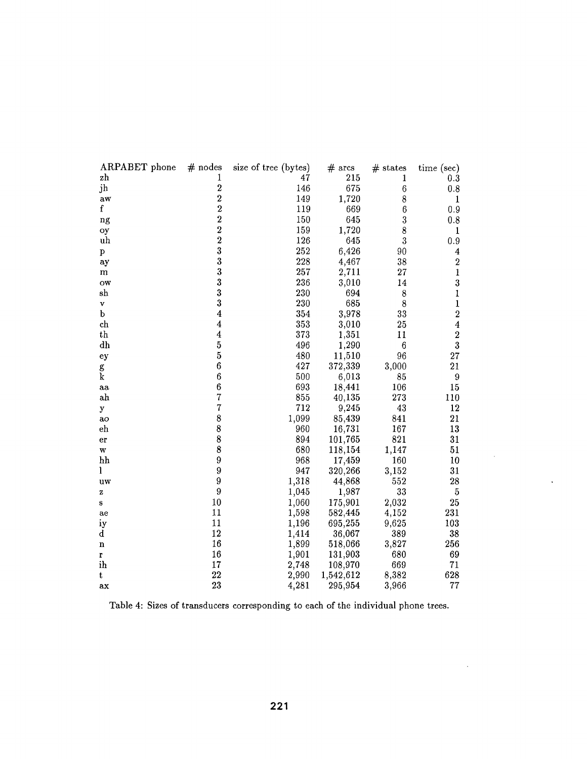| ARPABET phone | $#$ nodes               | size of tree (bytes) | $#$ arcs  | $#$ states       | time (sec)              |
|---------------|-------------------------|----------------------|-----------|------------------|-------------------------|
| zh            | 1                       | 47                   | 215       | 1                | 0.3                     |
| jh            | $\overline{2}$          | 146                  | 675       | $\boldsymbol{6}$ | 0.8                     |
| aw            | $\overline{2}$          | 149                  | 1,720     | 8                | $\mathbf{1}$            |
| $\mathbf f$   | $\overline{2}$          | 119                  | 669       | $6\phantom{.}6$  | 0.9                     |
| ng            | $\overline{2}$          | 150                  | 645       | 3                | 0.8                     |
| oy            | $\overline{2}$          | 159                  | 1,720     | 8                | $\mathbf{1}$            |
| uh            | $\overline{2}$          | 126                  | 645       | 3                | 0.9                     |
| p             | 3                       | 252                  | 6,426     | 90               | 4                       |
| ay            | $\overline{\mathbf{3}}$ | 228                  | 4,467     | 38               | $\boldsymbol{2}$        |
| m             | 3                       | 257                  | 2,711     | 27               | $\mathbf{1}$            |
| ow            | 3                       | 236                  | 3,010     | 14               | 3                       |
| sh            | 3                       | 230                  | 694       | 8                | $\mathbf{1}$            |
| V             | 3                       | 230                  | 685       | 8                | $\mathbf{1}$            |
| $\mathbf b$   | $\overline{\mathbf{4}}$ | 354                  | 3,978     | 33               | $\bf{2}$                |
| ch            | $\boldsymbol{4}$        | 353                  | 3,010     | 25               | $\overline{\mathbf{4}}$ |
| th            | $\overline{\mathbf{4}}$ | 373                  | 1,351     | 11               | $\boldsymbol{2}$        |
| dh            | $\mathbf{5}$            | 496                  | 1,290     | $\boldsymbol{6}$ | $\bf{3}$                |
| ey            | $\bf 5$                 | 480                  | 11,510    | 96               | 27                      |
| g             | $\boldsymbol{6}$        | 427                  | 372,339   | 3,000            | 21                      |
| $\mathbf k$   | $\boldsymbol{6}$        | 500                  | 6,013     | 85               | 9                       |
| aa            | $\boldsymbol{6}$        | 693                  | 18,441    | 106              | 15                      |
| ah            | $\overline{7}$          | 855                  | 40,135    | 273              | 110                     |
| y             | $\overline{7}$          | 712                  | 9,245     | 43               | 12                      |
| ao            | 8                       | 1,099                | 85,439    | 841              | 21                      |
| eh            | 8                       | 960                  | 16,731    | 167              | 13                      |
| er            | 8                       | 894                  | 101,765   | 821              | 31                      |
| w             | 8                       | 680                  | 118,154   | 1,147            | 51                      |
| hh            | 9                       | 968                  | 17,459    | 160              | 10                      |
| 1             | 9                       | 947                  | 320,266   | 3,152            | 31                      |
| uw            | $\boldsymbol{9}$        | 1,318                | 44,868    | 552              | 28                      |
| z             | 9                       | 1,045                | 1,987     | 33               | $\bf 5$                 |
| s             | 10                      | 1,060                | 175,901   | 2,032            | 25                      |
| ae            | 11                      | 1,598                | 582,445   | 4,152            | 231                     |
| iy            | 11                      | 1,196                | 695,255   | 9,625            | 103                     |
| d             | 12                      | 1,414                | 36,067    | 389              | 38                      |
| $\mathbf n$   | 16                      | 1,899                | 518,066   | 3,827            | 256                     |
| r             | 16                      | 1,901                | 131,903   | 680              | 69                      |
| ih            | 17                      | 2,748                | 108,970   | 669              | 71                      |
| t             | 22                      | 2,990                | 1,542,612 | 8,382            | 628                     |
| аx            | 23                      | 4,281                | 295,954   | 3,966            | 77                      |

 $\Delta \sim 10^4$ 

 $\sim 10^{11}$ 

 $\sim$ 

Table 4: Sizes of transducers corresponding to each of the individual phone trees.